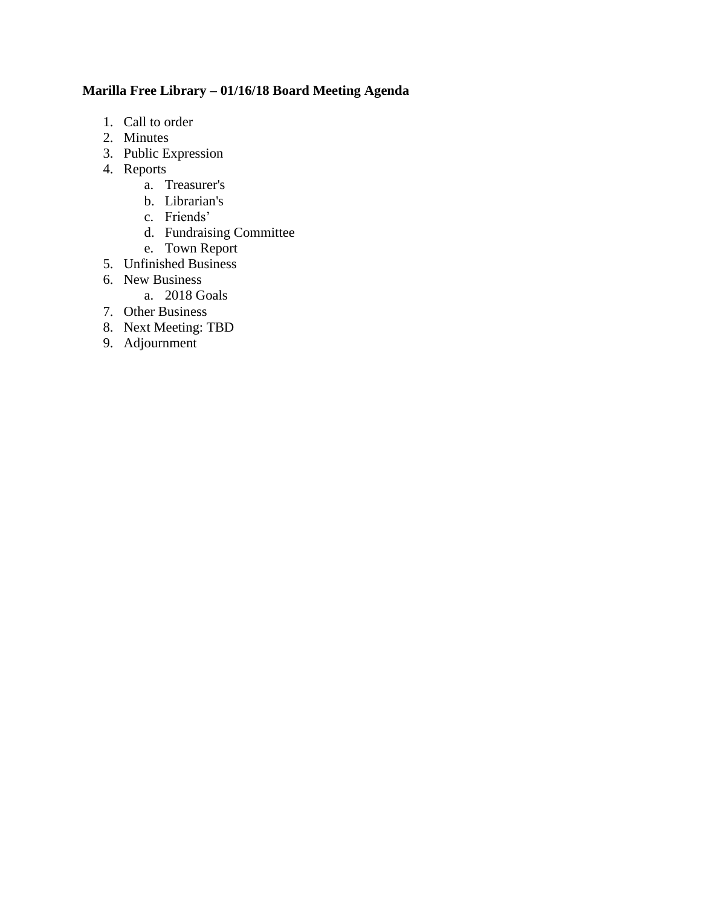# **Marilla Free Library – 01/16/18 Board Meeting Agenda**

- 1. Call to order
- 2. Minutes
- 3. Public Expression
- 4. Reports
	- a. Treasurer's
	- b. Librarian's
	- c. Friends'
	- d. Fundraising Committee
	- e. Town Report
- 5. Unfinished Business
- 6. New Business
	- a. 2018 Goals
- 7. Other Business
- 8. Next Meeting: TBD
- 9. Adjournment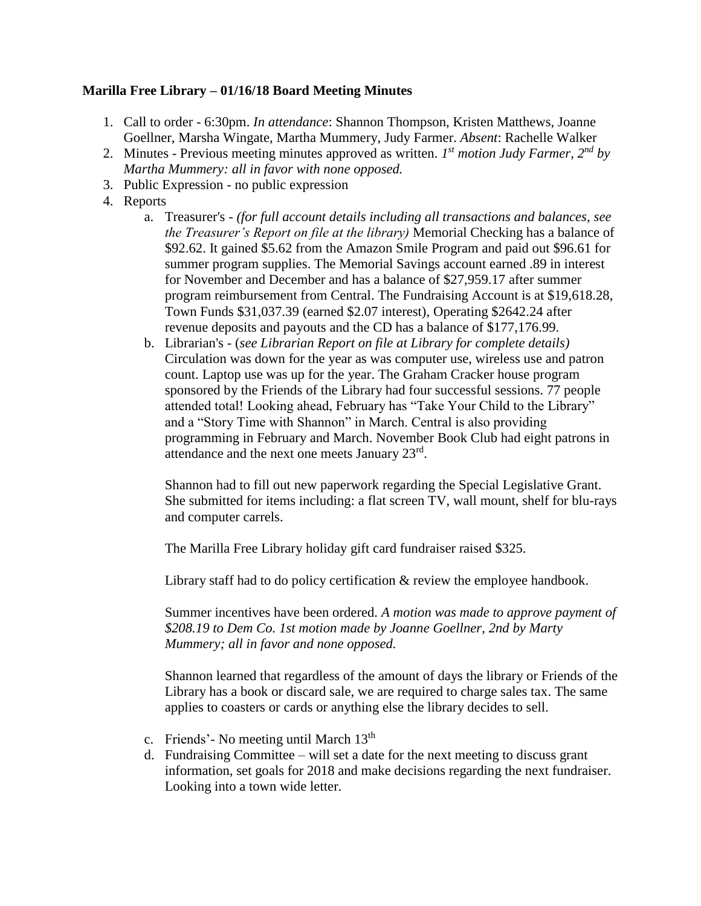## **Marilla Free Library – 01/16/18 Board Meeting Minutes**

- 1. Call to order 6:30pm. *In attendance*: Shannon Thompson, Kristen Matthews, Joanne Goellner, Marsha Wingate, Martha Mummery, Judy Farmer. *Absent*: Rachelle Walker
- 2. Minutes Previous meeting minutes approved as written. *I*<sup>st</sup> motion Judy Farmer, 2<sup>nd</sup> by *Martha Mummery: all in favor with none opposed.*
- 3. Public Expression no public expression
- 4. Reports
	- a. Treasurer's *(for full account details including all transactions and balances, see the Treasurer's Report on file at the library)* Memorial Checking has a balance of \$92.62. It gained \$5.62 from the Amazon Smile Program and paid out \$96.61 for summer program supplies. The Memorial Savings account earned .89 in interest for November and December and has a balance of \$27,959.17 after summer program reimbursement from Central. The Fundraising Account is at \$19,618.28, Town Funds \$31,037.39 (earned \$2.07 interest), Operating \$2642.24 after revenue deposits and payouts and the CD has a balance of \$177,176.99.
	- b. Librarian's (*see Librarian Report on file at Library for complete details)*  Circulation was down for the year as was computer use, wireless use and patron count. Laptop use was up for the year. The Graham Cracker house program sponsored by the Friends of the Library had four successful sessions. 77 people attended total! Looking ahead, February has "Take Your Child to the Library" and a "Story Time with Shannon" in March. Central is also providing programming in February and March. November Book Club had eight patrons in attendance and the next one meets January  $23^{\text{rd}}$ .

Shannon had to fill out new paperwork regarding the Special Legislative Grant. She submitted for items including: a flat screen TV, wall mount, shelf for blu-rays and computer carrels.

The Marilla Free Library holiday gift card fundraiser raised \$325.

Library staff had to do policy certification  $\&$  review the employee handbook.

Summer incentives have been ordered. *A motion was made to approve payment of \$208.19 to Dem Co. 1st motion made by Joanne Goellner, 2nd by Marty Mummery; all in favor and none opposed.*

Shannon learned that regardless of the amount of days the library or Friends of the Library has a book or discard sale, we are required to charge sales tax. The same applies to coasters or cards or anything else the library decides to sell.

- c. Friends'- No meeting until March  $13<sup>th</sup>$
- d. Fundraising Committee will set a date for the next meeting to discuss grant information, set goals for 2018 and make decisions regarding the next fundraiser. Looking into a town wide letter.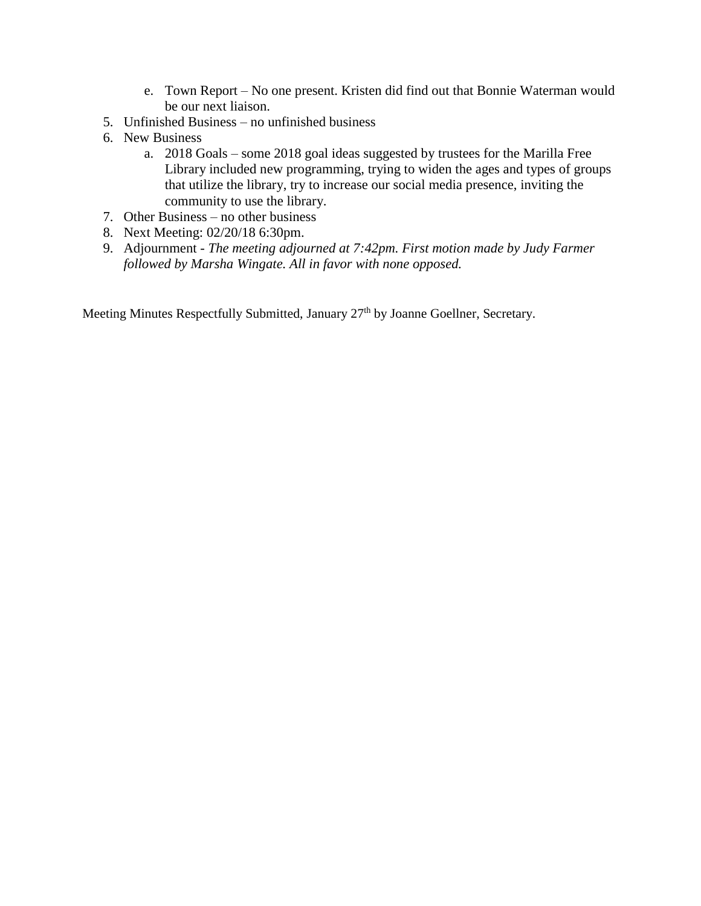- e. Town Report No one present. Kristen did find out that Bonnie Waterman would be our next liaison.
- 5. Unfinished Business no unfinished business
- 6. New Business
	- a. 2018 Goals some 2018 goal ideas suggested by trustees for the Marilla Free Library included new programming, trying to widen the ages and types of groups that utilize the library, try to increase our social media presence, inviting the community to use the library.
- 7. Other Business no other business
- 8. Next Meeting: 02/20/18 6:30pm.
- 9. Adjournment *The meeting adjourned at 7:42pm. First motion made by Judy Farmer followed by Marsha Wingate. All in favor with none opposed.*

Meeting Minutes Respectfully Submitted, January 27<sup>th</sup> by Joanne Goellner, Secretary.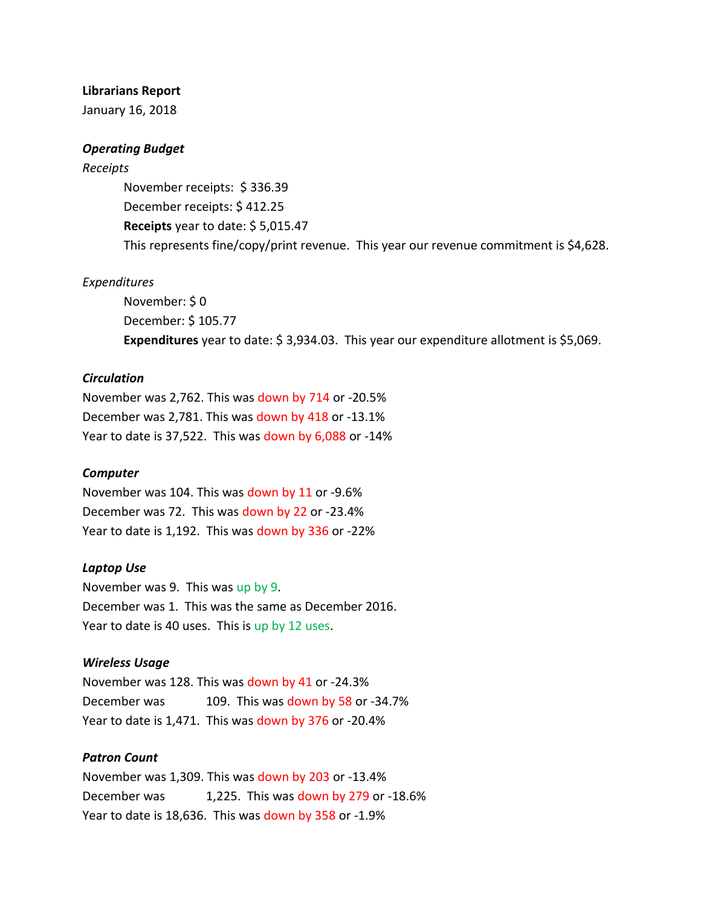### **Librarians Report**

January 16, 2018

### *Operating Budget*

#### *Receipts*

November receipts: \$ 336.39 December receipts: \$ 412.25 **Receipts** year to date: \$ 5,015.47 This represents fine/copy/print revenue. This year our revenue commitment is \$4,628.

### *Expenditures*

November: \$ 0 December: \$ 105.77 **Expenditures** year to date: \$ 3,934.03. This year our expenditure allotment is \$5,069.

### *Circulation*

November was 2,762. This was down by 714 or -20.5% December was 2,781. This was down by 418 or -13.1% Year to date is 37,522. This was down by 6,088 or -14%

#### *Computer*

November was 104. This was down by 11 or -9.6% December was 72. This was down by 22 or -23.4% Year to date is 1,192. This was down by 336 or -22%

#### *Laptop Use*

November was 9. This was up by 9. December was 1. This was the same as December 2016. Year to date is 40 uses. This is up by 12 uses.

### *Wireless Usage*

November was 128. This was down by 41 or -24.3% December was 109. This was down by 58 or -34.7% Year to date is 1,471. This was down by 376 or -20.4%

### *Patron Count*

November was 1,309. This was down by 203 or -13.4% December was 1,225. This was down by 279 or -18.6% Year to date is 18,636. This was down by 358 or -1.9%